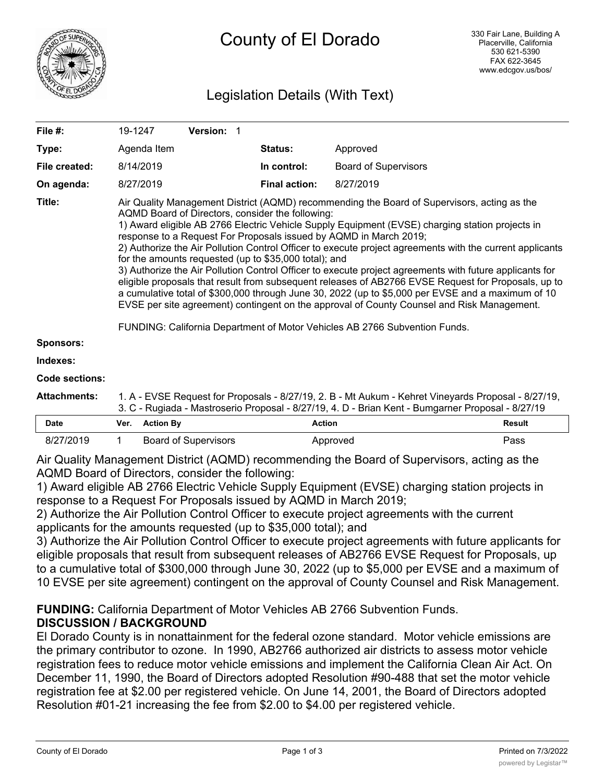

# Legislation Details (With Text)

| File #:               | 19-1247                                                                                                                                                                                                                                                                                                                                                                                                                                                                                                                                                                                                                                                                                                                                                                                                                                                                                                                                                                                         | Version: 1 |                      |                             |  |  |
|-----------------------|-------------------------------------------------------------------------------------------------------------------------------------------------------------------------------------------------------------------------------------------------------------------------------------------------------------------------------------------------------------------------------------------------------------------------------------------------------------------------------------------------------------------------------------------------------------------------------------------------------------------------------------------------------------------------------------------------------------------------------------------------------------------------------------------------------------------------------------------------------------------------------------------------------------------------------------------------------------------------------------------------|------------|----------------------|-----------------------------|--|--|
| Type:                 | Agenda Item                                                                                                                                                                                                                                                                                                                                                                                                                                                                                                                                                                                                                                                                                                                                                                                                                                                                                                                                                                                     |            | <b>Status:</b>       | Approved                    |  |  |
| File created:         | 8/14/2019                                                                                                                                                                                                                                                                                                                                                                                                                                                                                                                                                                                                                                                                                                                                                                                                                                                                                                                                                                                       |            | In control:          | <b>Board of Supervisors</b> |  |  |
| On agenda:            | 8/27/2019                                                                                                                                                                                                                                                                                                                                                                                                                                                                                                                                                                                                                                                                                                                                                                                                                                                                                                                                                                                       |            | <b>Final action:</b> | 8/27/2019                   |  |  |
| Title:                | Air Quality Management District (AQMD) recommending the Board of Supervisors, acting as the<br>AQMD Board of Directors, consider the following:<br>1) Award eligible AB 2766 Electric Vehicle Supply Equipment (EVSE) charging station projects in<br>response to a Request For Proposals issued by AQMD in March 2019;<br>2) Authorize the Air Pollution Control Officer to execute project agreements with the current applicants<br>for the amounts requested (up to \$35,000 total); and<br>3) Authorize the Air Pollution Control Officer to execute project agreements with future applicants for<br>eligible proposals that result from subsequent releases of AB2766 EVSE Request for Proposals, up to<br>a cumulative total of \$300,000 through June 30, 2022 (up to \$5,000 per EVSE and a maximum of 10<br>EVSE per site agreement) contingent on the approval of County Counsel and Risk Management.<br>FUNDING: California Department of Motor Vehicles AB 2766 Subvention Funds. |            |                      |                             |  |  |
| <b>Sponsors:</b>      |                                                                                                                                                                                                                                                                                                                                                                                                                                                                                                                                                                                                                                                                                                                                                                                                                                                                                                                                                                                                 |            |                      |                             |  |  |
| Indexes:              |                                                                                                                                                                                                                                                                                                                                                                                                                                                                                                                                                                                                                                                                                                                                                                                                                                                                                                                                                                                                 |            |                      |                             |  |  |
| <b>Code sections:</b> |                                                                                                                                                                                                                                                                                                                                                                                                                                                                                                                                                                                                                                                                                                                                                                                                                                                                                                                                                                                                 |            |                      |                             |  |  |
| <b>Attachments:</b>   | 1. A - EVSE Request for Proposals - 8/27/19, 2. B - Mt Aukum - Kehret Vineyards Proposal - 8/27/19,                                                                                                                                                                                                                                                                                                                                                                                                                                                                                                                                                                                                                                                                                                                                                                                                                                                                                             |            |                      |                             |  |  |

| лшенкэ. | T. A - EVOE RUGUESI IUI FIUDUSAIS - 0/27/19. Z. D - MILAUKUIII - RUTIUL VIIIUVAIUS FIUDUSAI - 0/27/19 |
|---------|-------------------------------------------------------------------------------------------------------|
|         | 3. C - Rugiada - Mastroserio Proposal - 8/27/19, 4. D - Brian Kent - Bumgarner Proposal - 8/27/19     |

| <b>Date</b> | Ver. | <b>Action By</b>            | Action   | <b>Result</b> |
|-------------|------|-----------------------------|----------|---------------|
| 8/27/2019   |      | <b>Board of Supervisors</b> | Approved | Pass          |

Air Quality Management District (AQMD) recommending the Board of Supervisors, acting as the AQMD Board of Directors, consider the following:

1) Award eligible AB 2766 Electric Vehicle Supply Equipment (EVSE) charging station projects in response to a Request For Proposals issued by AQMD in March 2019;

2) Authorize the Air Pollution Control Officer to execute project agreements with the current applicants for the amounts requested (up to \$35,000 total); and

3) Authorize the Air Pollution Control Officer to execute project agreements with future applicants for eligible proposals that result from subsequent releases of AB2766 EVSE Request for Proposals, up to a cumulative total of \$300,000 through June 30, 2022 (up to \$5,000 per EVSE and a maximum of 10 EVSE per site agreement) contingent on the approval of County Counsel and Risk Management.

## **FUNDING:** California Department of Motor Vehicles AB 2766 Subvention Funds. **DISCUSSION / BACKGROUND**

El Dorado County is in nonattainment for the federal ozone standard. Motor vehicle emissions are the primary contributor to ozone. In 1990, AB2766 authorized air districts to assess motor vehicle registration fees to reduce motor vehicle emissions and implement the California Clean Air Act. On December 11, 1990, the Board of Directors adopted Resolution #90-488 that set the motor vehicle registration fee at \$2.00 per registered vehicle. On June 14, 2001, the Board of Directors adopted Resolution #01-21 increasing the fee from \$2.00 to \$4.00 per registered vehicle.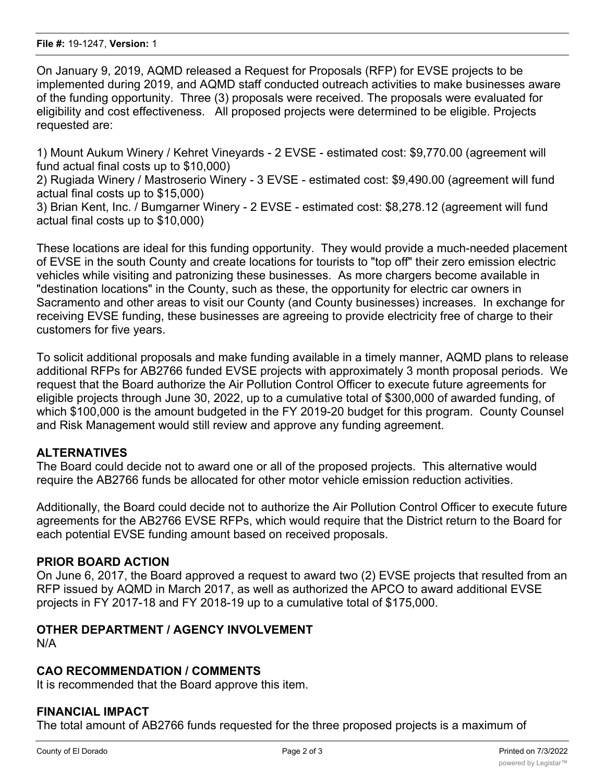On January 9, 2019, AQMD released a Request for Proposals (RFP) for EVSE projects to be implemented during 2019, and AQMD staff conducted outreach activities to make businesses aware of the funding opportunity. Three (3) proposals were received. The proposals were evaluated for eligibility and cost effectiveness. All proposed projects were determined to be eligible. Projects requested are:

1) Mount Aukum Winery / Kehret Vineyards - 2 EVSE - estimated cost: \$9,770.00 (agreement will fund actual final costs up to \$10,000)

2) Rugiada Winery / Mastroserio Winery - 3 EVSE - estimated cost: \$9,490.00 (agreement will fund actual final costs up to \$15,000)

3) Brian Kent, Inc. / Bumgarner Winery - 2 EVSE - estimated cost: \$8,278.12 (agreement will fund actual final costs up to \$10,000)

These locations are ideal for this funding opportunity. They would provide a much-needed placement of EVSE in the south County and create locations for tourists to "top off" their zero emission electric vehicles while visiting and patronizing these businesses. As more chargers become available in "destination locations" in the County, such as these, the opportunity for electric car owners in Sacramento and other areas to visit our County (and County businesses) increases. In exchange for receiving EVSE funding, these businesses are agreeing to provide electricity free of charge to their customers for five years.

To solicit additional proposals and make funding available in a timely manner, AQMD plans to release additional RFPs for AB2766 funded EVSE projects with approximately 3 month proposal periods. We request that the Board authorize the Air Pollution Control Officer to execute future agreements for eligible projects through June 30, 2022, up to a cumulative total of \$300,000 of awarded funding, of which \$100,000 is the amount budgeted in the FY 2019-20 budget for this program. County Counsel and Risk Management would still review and approve any funding agreement.

### **ALTERNATIVES**

The Board could decide not to award one or all of the proposed projects. This alternative would require the AB2766 funds be allocated for other motor vehicle emission reduction activities.

Additionally, the Board could decide not to authorize the Air Pollution Control Officer to execute future agreements for the AB2766 EVSE RFPs, which would require that the District return to the Board for each potential EVSE funding amount based on received proposals.

#### **PRIOR BOARD ACTION**

On June 6, 2017, the Board approved a request to award two (2) EVSE projects that resulted from an RFP issued by AQMD in March 2017, as well as authorized the APCO to award additional EVSE projects in FY 2017-18 and FY 2018-19 up to a cumulative total of \$175,000.

#### **OTHER DEPARTMENT / AGENCY INVOLVEMENT**

N/A

#### **CAO RECOMMENDATION / COMMENTS**

It is recommended that the Board approve this item.

#### **FINANCIAL IMPACT**

The total amount of AB2766 funds requested for the three proposed projects is a maximum of